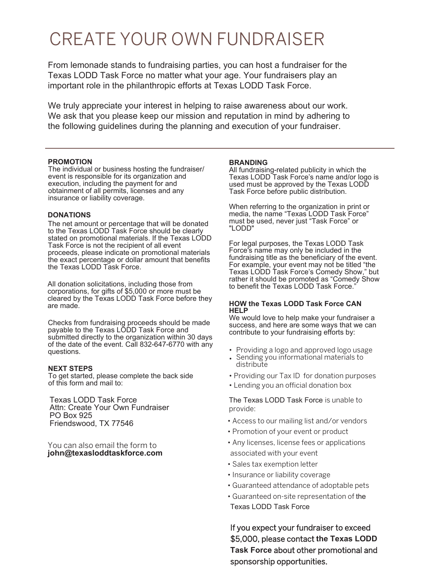## CREATE YOUR OWN FUNDRAISER

From lemonade stands to fundraising parties, you can host a fundraiser for the Texas LODD Task Force no matter what your age. Your fundraisers play an important role in the philanthropic efforts at Texas LODD Task Force.

We truly appreciate your interest in helping to raise awareness about our work. We ask that you please keep our mission and reputation in mind by adhering to the following guidelines during the planning and execution of your fundraiser.

#### **PROMOTION**

The individual or business hosting the fundraiser/ event is responsible for its organization and execution, including the payment for and obtainment of all permits, licenses and any insurance or liability coverage.

#### **DONATIONS**

The net amount or percentage that will be donated to the Texas LODD Task Force should be clearly stated on promotional materials. If the Texas LODD Task Force is not the recipient of all event proceeds, please indicate on promotional materials the exact percentage or dollar amount that benefits the Texas LODD Task Force.

All donation solicitations, including those from corporations, for gifts of \$5,000 or more must be cleared by the Texas LODD Task Force before they are made.

Checks from fundraising proceeds should be made payable to the Texas LODD Task Force and submitted directly to the organization within 30 days of the date of the event. Call 832-647-6770 with any questions.

#### **NEXT STEPS**

To get started, please complete the back side of this form and mail to:

Texas LODD Task Force Attn: Create Your Own Fundraiser PO Box 925 Friendswood, TX 77546

You can also email the form to **john@texasloddtaskforce.com**

#### **BRANDING**

All fundraising-related publicity in which the Texas LODD Task Force's name and/or logo is used must be approved by the Texas LODD Task Force before public distribution.

When referring to the organization in print or media, the name "Texas LODD Task Force" must be used, never just "Task Force" or "LODD"

For legal purposes, the Texas LODD Task Force's name may only be included in the fundraising title as the beneficiary of the event. For example, your event may not be titled "the Texas LODD Task Force's Comedy Show," but rather it should be promoted as "Comedy Show to benefit the Texas LODD Task Force.

#### **HOW the Texas LODD Task Force CAN HELP**

We would love to help make your fundraiser a success, and here are some ways that we can contribute to your fundraising efforts by:

- Providing a logo and approved logo usage
- Sending you informational materials to distribute
- Providing our Tax ID for donation purposes
- Lending you an official donation box

The Texas LODD Task Force is unable to provide:

- Access to our mailing list and/or vendors
- Promotion of your event or product
- Any licenses, license fees or applications associated with your event
- Sales tax exemption letter
- Insurance or liability coverage
- Guaranteed attendance of adoptable pets
- Guaranteed on-site representation of the Texas LODD Task Force

If you expect your fundraiser to exceed \$5,000, please contact **the Texas LODD Task Force** about other promotional and sponsorship opportunities.